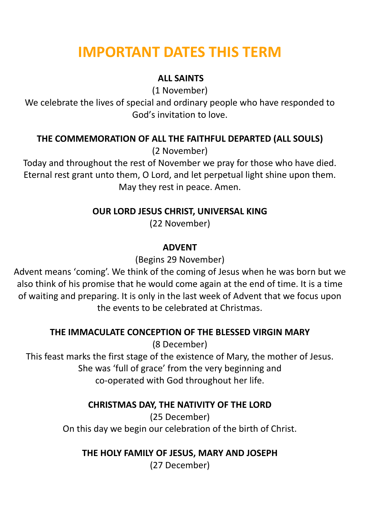# **IMPORTANT DATES THIS TERM**

# **ALL SAINTS**

(1 November)

We celebrate the lives of special and ordinary people who have responded to God's invitation to love.

# **THE COMMEMORATION OF ALL THE FAITHFUL DEPARTED (ALL SOULS)**

(2 November)

Today and throughout the rest of November we pray for those who have died. Eternal rest grant unto them, O Lord, and let perpetual light shine upon them. May they rest in peace. Amen.

# **OUR LORD JESUS CHRIST, UNIVERSAL KING**

(22 November)

### **ADVENT**

(Begins 29 November)

Advent means 'coming'. We think of the coming of Jesus when he was born but we also think of his promise that he would come again at the end of time. It is a time of waiting and preparing. It is only in the last week of Advent that we focus upon the events to be celebrated at Christmas.

# **THE IMMACULATE CONCEPTION OF THE BLESSED VIRGIN MARY**

(8 December)

This feast marks the first stage of the existence of Mary, the mother of Jesus. She was 'full of grace' from the very beginning and co-operated with God throughout her life.

# **CHRISTMAS DAY, THE NATIVITY OF THE LORD**

(25 December) On this day we begin our celebration of the birth of Christ.

# **THE HOLY FAMILY OF JESUS, MARY AND JOSEPH**

(27 December)